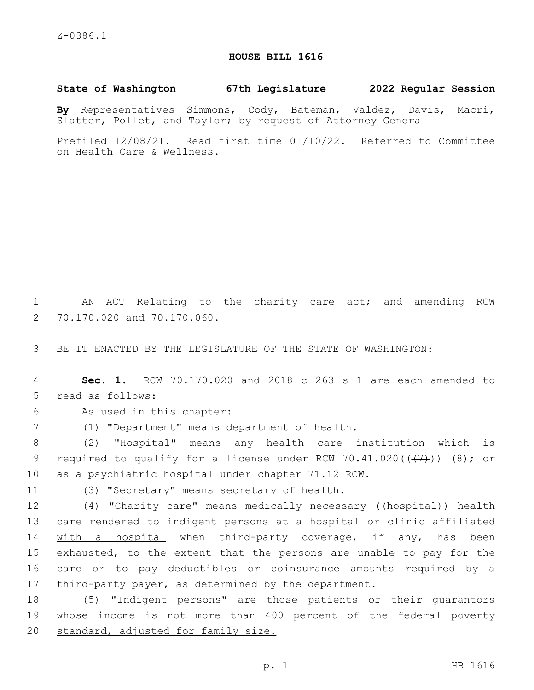## **HOUSE BILL 1616**

**State of Washington 67th Legislature 2022 Regular Session**

**By** Representatives Simmons, Cody, Bateman, Valdez, Davis, Macri, Slatter, Pollet, and Taylor; by request of Attorney General

Prefiled 12/08/21. Read first time 01/10/22. Referred to Committee on Health Care & Wellness.

1 AN ACT Relating to the charity care act; and amending RCW 2 70.170.020 and 70.170.060.

3 BE IT ENACTED BY THE LEGISLATURE OF THE STATE OF WASHINGTON:

4 **Sec. 1.** RCW 70.170.020 and 2018 c 263 s 1 are each amended to 5 read as follows:

6 As used in this chapter:

(1) "Department" means department of health.7

8 (2) "Hospital" means any health care institution which is 9 required to qualify for a license under RCW 70.41.020( $(\overline{+7})$ ) (8); or 10 as a psychiatric hospital under chapter 71.12 RCW.

11 (3) "Secretary" means secretary of health.

12 (4) "Charity care" means medically necessary ((hospital)) health 13 care rendered to indigent persons at a hospital or clinic affiliated 14 with a hospital when third-party coverage, if any, has been 15 exhausted, to the extent that the persons are unable to pay for the 16 care or to pay deductibles or coinsurance amounts required by a 17 third-party payer, as determined by the department.

18 (5) "Indigent persons" are those patients or their guarantors 19 whose income is not more than 400 percent of the federal poverty 20 standard, adjusted for family size.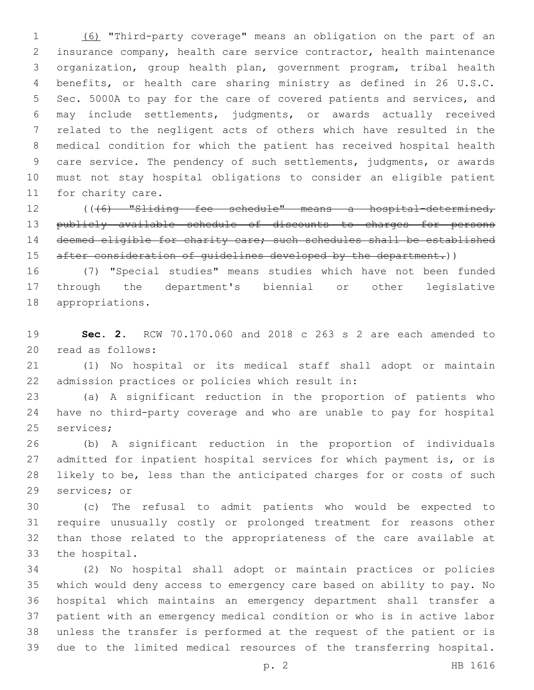(6) "Third-party coverage" means an obligation on the part of an insurance company, health care service contractor, health maintenance organization, group health plan, government program, tribal health benefits, or health care sharing ministry as defined in 26 U.S.C. Sec. 5000A to pay for the care of covered patients and services, and may include settlements, judgments, or awards actually received related to the negligent acts of others which have resulted in the medical condition for which the patient has received hospital health care service. The pendency of such settlements, judgments, or awards must not stay hospital obligations to consider an eligible patient 11 for charity care.

 (((6) "Sliding fee schedule" means a hospital-determined, publicly available schedule of discounts to charges for persons deemed eligible for charity care; such schedules shall be established 15 after consideration of quidelines developed by the department.))

 (7) "Special studies" means studies which have not been funded through the department's biennial or other legislative 18 appropriations.

 **Sec. 2.** RCW 70.170.060 and 2018 c 263 s 2 are each amended to 20 read as follows:

 (1) No hospital or its medical staff shall adopt or maintain 22 admission practices or policies which result in:

 (a) A significant reduction in the proportion of patients who have no third-party coverage and who are unable to pay for hospital 25 services;

 (b) A significant reduction in the proportion of individuals admitted for inpatient hospital services for which payment is, or is likely to be, less than the anticipated charges for or costs of such 29 services; or

 (c) The refusal to admit patients who would be expected to require unusually costly or prolonged treatment for reasons other than those related to the appropriateness of the care available at 33 the hospital.

 (2) No hospital shall adopt or maintain practices or policies which would deny access to emergency care based on ability to pay. No hospital which maintains an emergency department shall transfer a patient with an emergency medical condition or who is in active labor unless the transfer is performed at the request of the patient or is due to the limited medical resources of the transferring hospital.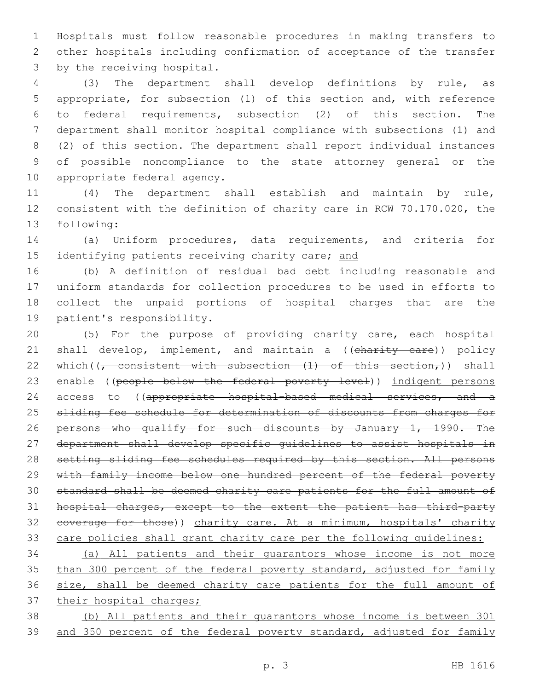1 Hospitals must follow reasonable procedures in making transfers to 2 other hospitals including confirmation of acceptance of the transfer 3 by the receiving hospital.

 (3) The department shall develop definitions by rule, as appropriate, for subsection (1) of this section and, with reference to federal requirements, subsection (2) of this section. The department shall monitor hospital compliance with subsections (1) and (2) of this section. The department shall report individual instances of possible noncompliance to the state attorney general or the 10 appropriate federal agency.

11 (4) The department shall establish and maintain by rule, 12 consistent with the definition of charity care in RCW 70.170.020, the 13 following:

14 (a) Uniform procedures, data requirements, and criteria for 15 identifying patients receiving charity care; and

 (b) A definition of residual bad debt including reasonable and uniform standards for collection procedures to be used in efforts to collect the unpaid portions of hospital charges that are the 19 patient's responsibility.

20 (5) For the purpose of providing charity care, each hospital 21 shall develop, implement, and maintain a ((charity care)) policy 22 which( $\frac{1}{r}$  consistent with subsection  $(1)$  of this section,)) shall 23 enable ((people below the federal poverty level)) indigent persons 24 access to ((appropriate hospital-based medical services, and a 25 sliding fee schedule for determination of discounts from charges for 26 persons who qualify for such discounts by January 1, 1990. The 27 department shall develop specific guidelines to assist hospitals in 28 setting sliding fee schedules required by this section. All persons 29 with family income below one hundred percent of the federal poverty 30 standard shall be deemed charity care patients for the full amount of 31 hospital charges, except to the extent the patient has third-party 32 coverage for those)) charity care. At a minimum, hospitals' charity 33 care policies shall grant charity care per the following quidelines:

34 (a) All patients and their guarantors whose income is not more 35 than 300 percent of the federal poverty standard, adjusted for family 36 size, shall be deemed charity care patients for the full amount of 37 their hospital charges;

38 (b) All patients and their guarantors whose income is between 301 39 and 350 percent of the federal poverty standard, adjusted for family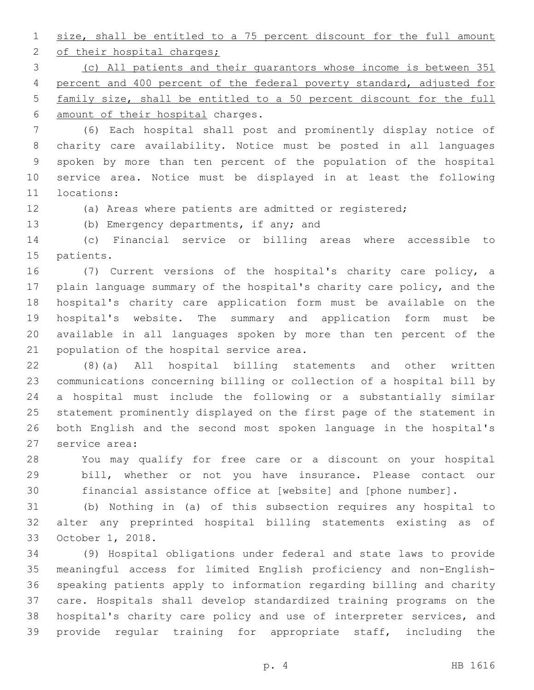size, shall be entitled to a 75 percent discount for the full amount 2 of their hospital charges;

 (c) All patients and their guarantors whose income is between 351 percent and 400 percent of the federal poverty standard, adjusted for family size, shall be entitled to a 50 percent discount for the full 6 amount of their hospital charges.

 (6) Each hospital shall post and prominently display notice of charity care availability. Notice must be posted in all languages spoken by more than ten percent of the population of the hospital service area. Notice must be displayed in at least the following 11 locations:

(a) Areas where patients are admitted or registered;

13 (b) Emergency departments, if any; and

 (c) Financial service or billing areas where accessible to 15 patients.

 (7) Current versions of the hospital's charity care policy, a plain language summary of the hospital's charity care policy, and the hospital's charity care application form must be available on the hospital's website. The summary and application form must be available in all languages spoken by more than ten percent of the 21 population of the hospital service area.

 (8)(a) All hospital billing statements and other written communications concerning billing or collection of a hospital bill by a hospital must include the following or a substantially similar statement prominently displayed on the first page of the statement in both English and the second most spoken language in the hospital's 27 service area:

 You may qualify for free care or a discount on your hospital bill, whether or not you have insurance. Please contact our financial assistance office at [website] and [phone number].

 (b) Nothing in (a) of this subsection requires any hospital to alter any preprinted hospital billing statements existing as of 33 October 1, 2018.

 (9) Hospital obligations under federal and state laws to provide meaningful access for limited English proficiency and non-English- speaking patients apply to information regarding billing and charity care. Hospitals shall develop standardized training programs on the hospital's charity care policy and use of interpreter services, and provide regular training for appropriate staff, including the